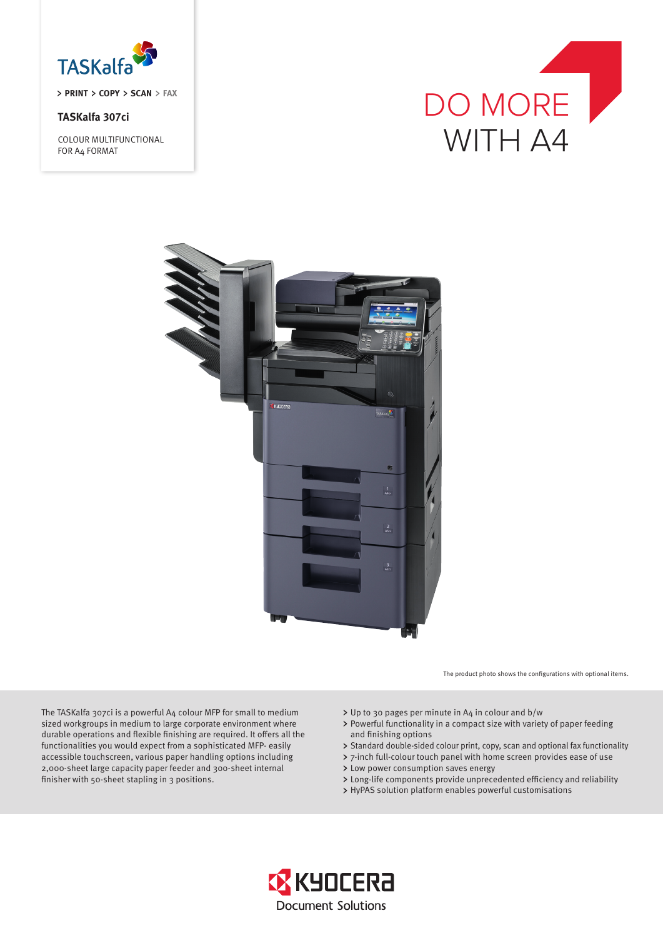

### **TASKalfa 307ci**

COLOUR MULTIFUNCTIONAL FOR A4 FORMAT





The product photo shows the configurations with optional items.

The TASKalfa 307ci is a powerful A4 colour MFP for small to medium sized workgroups in medium to large corporate environment where durable operations and flexible finishing are required. It offers all the functionalities you would expect from a sophisticated MFP- easily accessible touchscreen, various paper handling options including 2,000-sheet large capacity paper feeder and 300-sheet internal finisher with 50-sheet stapling in 3 positions.

- Up to 30 pages per minute in A4 in colour and b/w
- Powerful functionality in a compact size with variety of paper feeding and finishing options
- > Standard double-sided colour print, copy, scan and optional fax functionality
- 7-inch full-colour touch panel with home screen provides ease of use
- > Low power consumption saves energy
- Long-life components provide unprecedented efficiency and reliability
- HyPAS solution platform enables powerful customisations